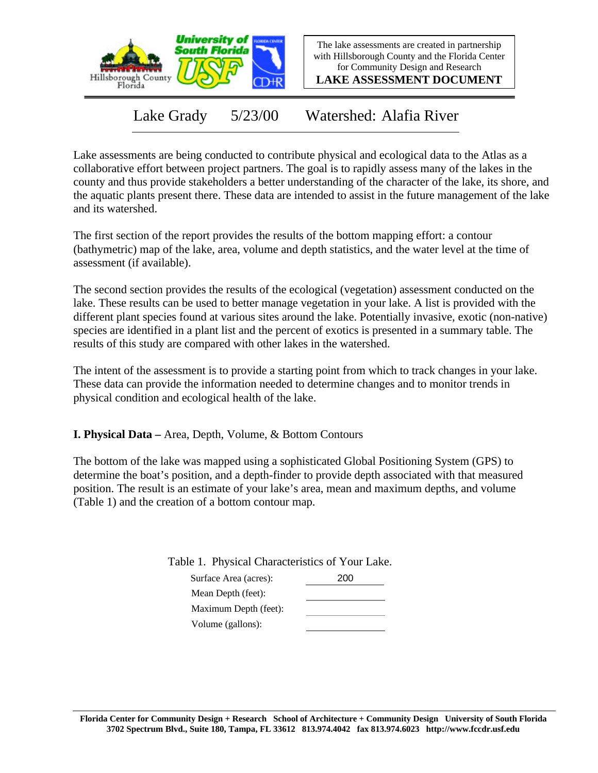

The lake assessments are created in partnership with Hillsborough County and the Florida Center for Community Design and Research

**LAKE ASSESSMENT DOCUMENT**

Lake Grady 5/23/00 Watershed: Alafia River

Lake assessments are being conducted to contribute physical and ecological data to the Atlas as a collaborative effort between project partners. The goal is to rapidly assess many of the lakes in the county and thus provide stakeholders a better understanding of the character of the lake, its shore, and the aquatic plants present there. These data are intended to assist in the future management of the lake and its watershed.

The first section of the report provides the results of the bottom mapping effort: a contour (bathymetric) map of the lake, area, volume and depth statistics, and the water level at the time of assessment (if available).

The second section provides the results of the ecological (vegetation) assessment conducted on the lake. These results can be used to better manage vegetation in your lake. A list is provided with the different plant species found at various sites around the lake. Potentially invasive, exotic (non-native) species are identified in a plant list and the percent of exotics is presented in a summary table. The results of this study are compared with other lakes in the watershed.

The intent of the assessment is to provide a starting point from which to track changes in your lake. These data can provide the information needed to determine changes and to monitor trends in physical condition and ecological health of the lake.

**I. Physical Data –** Area, Depth, Volume, & Bottom Contours

The bottom of the lake was mapped using a sophisticated Global Positioning System (GPS) to determine the boat's position, and a depth-finder to provide depth associated with that measured position. The result is an estimate of your lake's area, mean and maximum depths, and volume (Table 1) and the creation of a bottom contour map.

Table 1. Physical Characteristics of Your Lake.

| Surface Area (acres): | 200 |
|-----------------------|-----|
| Mean Depth (feet):    |     |
| Maximum Depth (feet): |     |
| Volume (gallons):     |     |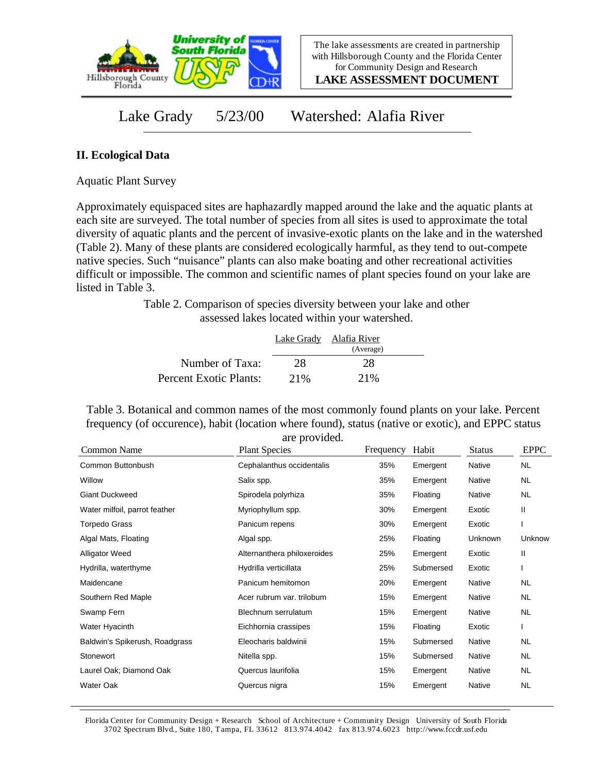

**LAKE ASSESSMENT DOCUMENT**

Lake Grady 5/23/00 Watershed: Alafia River

## **II. Ecological Data**

Aquatic Plant Survey

Approximately equispaced sites are haphazardly mapped around the lake and the aquatic plants at each site are surveyed. The total number of species from all sites is used to approximate the total diversity of aquatic plants and the percent of invasive-exotic plants on the lake and in the watershed (Table 2). Many of these plants are considered ecologically harmful, as they tend to out-compete native species. Such "nuisance" plants can also make boating and other recreational activities difficult or impossible. The common and scientific names of plant species found on your lake are listed in Table 3.

> Table 2. Comparison of species diversity between your lake and other assessed lakes located within your watershed.

|                        |      | Lake Grady Alafia River |  |
|------------------------|------|-------------------------|--|
|                        |      | (Average)               |  |
| Number of Taxa:        | 28   | 28                      |  |
| Percent Exotic Plants: | 2.1% | 2.1%                    |  |

Table 3. Botanical and common names of the most commonly found plants on your lake. Percent frequency (of occurence), habit (location where found), status (native or exotic), and EPPC status are provided.

| Common Name                    | <b>Plant Species</b>        | Frequency | Habit     | <b>Status</b> | <b>EPPC</b> |
|--------------------------------|-----------------------------|-----------|-----------|---------------|-------------|
| Common Buttonbush              | Cephalanthus occidentalis   | 35%       | Emergent  | <b>Native</b> | <b>NL</b>   |
| Willow                         | Salix spp.                  | 35%       | Emergent  | <b>Native</b> | <b>NL</b>   |
| <b>Giant Duckweed</b>          | Spirodela polyrhiza         | 35%       | Floating  | <b>Native</b> | <b>NL</b>   |
| Water milfoil, parrot feather  | Myriophyllum spp.           | 30%       | Emergent  | Exotic        | Ш           |
| <b>Torpedo Grass</b>           | Panicum repens              | 30%       | Emergent  | Exotic        |             |
| Algal Mats, Floating           | Algal spp.                  | 25%       | Floating  | Unknown       | Unknow      |
| <b>Alligator Weed</b>          | Alternanthera philoxeroides | 25%       | Emergent  | Exotic        | Ш           |
| Hydrilla, waterthyme           | Hydrilla verticillata       | 25%       | Submersed | Exotic        |             |
| Maidencane                     | Panicum hemitomon           | 20%       | Emergent  | Native        | NL.         |
| Southern Red Maple             | Acer rubrum var. trilobum   | 15%       | Emergent  | <b>Native</b> | NL.         |
| Swamp Fern                     | Blechnum serrulatum         | 15%       | Emergent  | Native        | <b>NL</b>   |
| Water Hyacinth                 | Eichhornia crassipes        | 15%       | Floating  | Exotic        |             |
| Baldwin's Spikerush, Roadgrass | Eleocharis baldwinii        | 15%       | Submersed | Native        | <b>NL</b>   |
| Stonewort                      | Nitella spp.                | 15%       | Submersed | Native        | <b>NL</b>   |
| Laurel Oak; Diamond Oak        | Quercus laurifolia          | 15%       | Emergent  | Native        | NL.         |
| Water Oak                      | Quercus nigra               | 15%       | Emergent  | Native        | <b>NL</b>   |

Florida Center for Community Design + Research School of Architecture + Community Design University of South Florida 3702 Spectrum Blvd., Suite 180, Tampa, FL 33612 813.974.4042 fax 813.974.6023 http://www.fccdr.usf.edu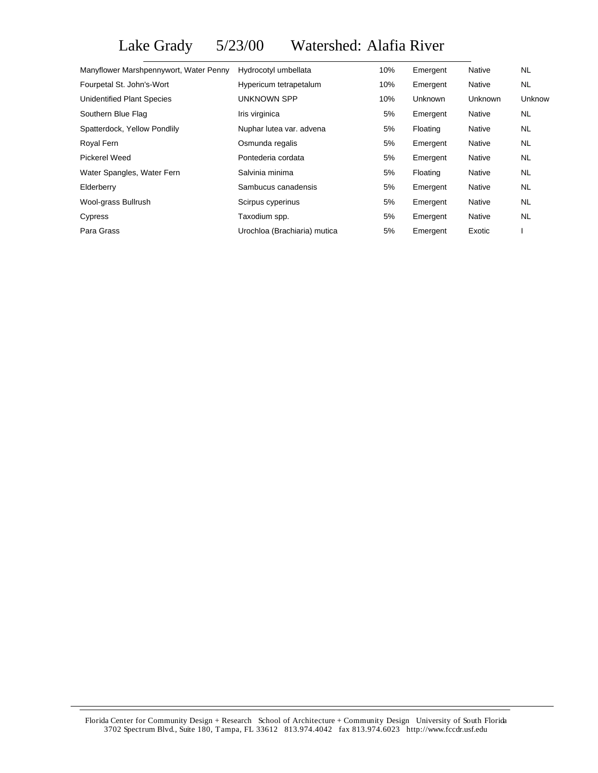Lake Grady 5/23/00 Watershed: Alafia River

| Manyflower Marshpennywort, Water Penny | Hydrocotyl umbellata         | 10% | Emergent       | Native        | NL.       |
|----------------------------------------|------------------------------|-----|----------------|---------------|-----------|
| Fourpetal St. John's-Wort              | Hypericum tetrapetalum       | 10% | Emergent       | <b>Native</b> | NL.       |
| Unidentified Plant Species             | <b>UNKNOWN SPP</b>           | 10% | <b>Unknown</b> | Unknown       | Unknow    |
| Southern Blue Flag                     | Iris virginica               | 5%  | Emergent       | <b>Native</b> | NL.       |
| Spatterdock, Yellow Pondlily           | Nuphar lutea var. advena     | 5%  | Floating       | Native        | NL.       |
| Royal Fern                             | Osmunda regalis              | 5%  | Emergent       | <b>Native</b> | NL.       |
| Pickerel Weed                          | Pontederia cordata           | 5%  | Emergent       | Native        | <b>NL</b> |
| Water Spangles, Water Fern             | Salvinia minima              | 5%  | Floating       | Native        | NL.       |
| Elderberry                             | Sambucus canadensis          | 5%  | Emergent       | <b>Native</b> | NL.       |
| Wool-grass Bullrush                    | Scirpus cyperinus            | 5%  | Emergent       | Native        | NL.       |
| Cypress                                | Taxodium spp.                | 5%  | Emergent       | <b>Native</b> | NL.       |
| Para Grass                             | Urochloa (Brachiaria) mutica | 5%  | Emergent       | Exotic        |           |